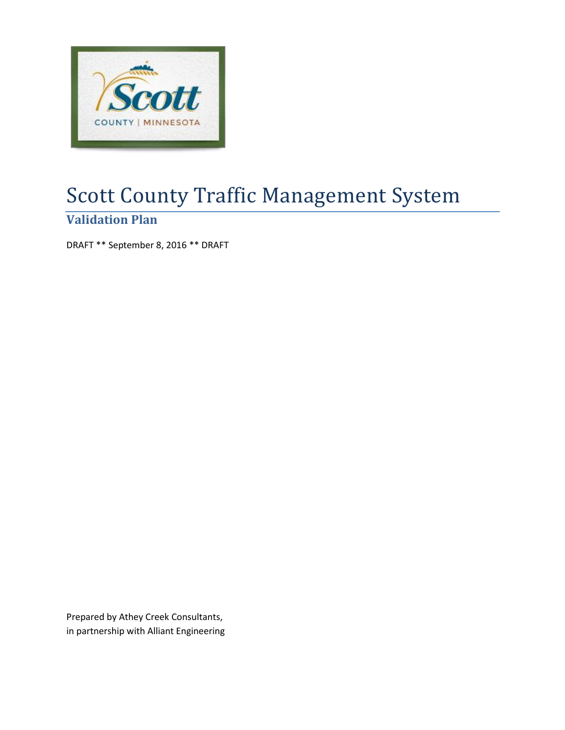

# Scott County Traffic Management System

# **Validation Plan**

DRAFT \*\* September 8, 2016 \*\* DRAFT

Prepared by Athey Creek Consultants, in partnership with Alliant Engineering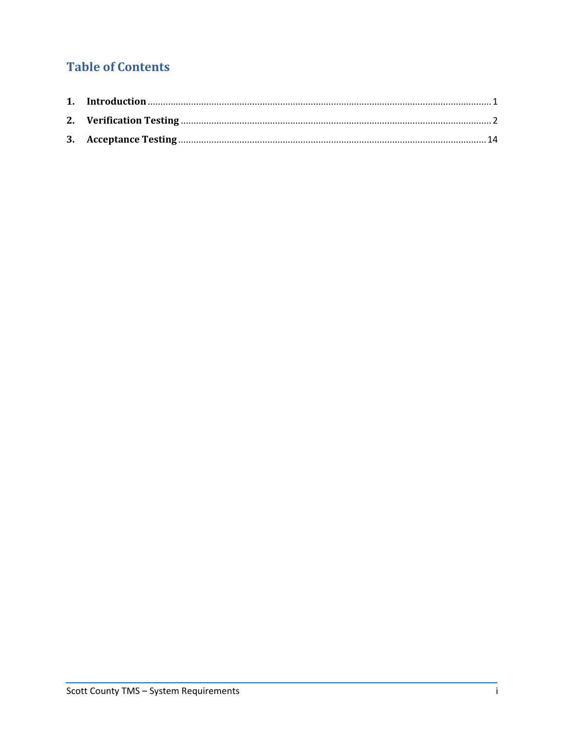# **Table of Contents**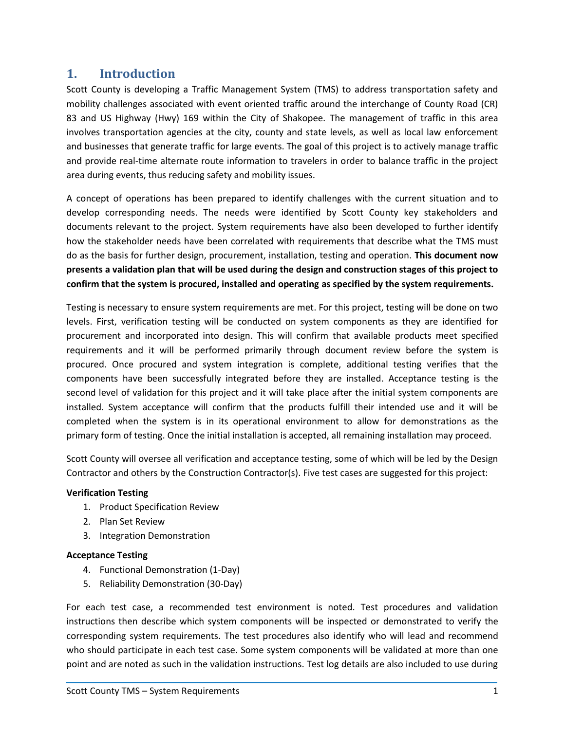## <span id="page-2-0"></span>**1. Introduction**

Scott County is developing a Traffic Management System (TMS) to address transportation safety and mobility challenges associated with event oriented traffic around the interchange of County Road (CR) 83 and US Highway (Hwy) 169 within the City of Shakopee. The management of traffic in this area involves transportation agencies at the city, county and state levels, as well as local law enforcement and businesses that generate traffic for large events. The goal of this project is to actively manage traffic and provide real-time alternate route information to travelers in order to balance traffic in the project area during events, thus reducing safety and mobility issues.

A concept of operations has been prepared to identify challenges with the current situation and to develop corresponding needs. The needs were identified by Scott County key stakeholders and documents relevant to the project. System requirements have also been developed to further identify how the stakeholder needs have been correlated with requirements that describe what the TMS must do as the basis for further design, procurement, installation, testing and operation. **This document now presents a validation plan that will be used during the design and construction stages of this project to confirm that the system is procured, installed and operating as specified by the system requirements.**

Testing is necessary to ensure system requirements are met. For this project, testing will be done on two levels. First, verification testing will be conducted on system components as they are identified for procurement and incorporated into design. This will confirm that available products meet specified requirements and it will be performed primarily through document review before the system is procured. Once procured and system integration is complete, additional testing verifies that the components have been successfully integrated before they are installed. Acceptance testing is the second level of validation for this project and it will take place after the initial system components are installed. System acceptance will confirm that the products fulfill their intended use and it will be completed when the system is in its operational environment to allow for demonstrations as the primary form of testing. Once the initial installation is accepted, all remaining installation may proceed.

Scott County will oversee all verification and acceptance testing, some of which will be led by the Design Contractor and others by the Construction Contractor(s). Five test cases are suggested for this project:

## **Verification Testing**

- 1. Product Specification Review
- 2. Plan Set Review
- 3. Integration Demonstration

## **Acceptance Testing**

- 4. Functional Demonstration (1-Day)
- 5. Reliability Demonstration (30-Day)

For each test case, a recommended test environment is noted. Test procedures and validation instructions then describe which system components will be inspected or demonstrated to verify the corresponding system requirements. The test procedures also identify who will lead and recommend who should participate in each test case. Some system components will be validated at more than one point and are noted as such in the validation instructions. Test log details are also included to use during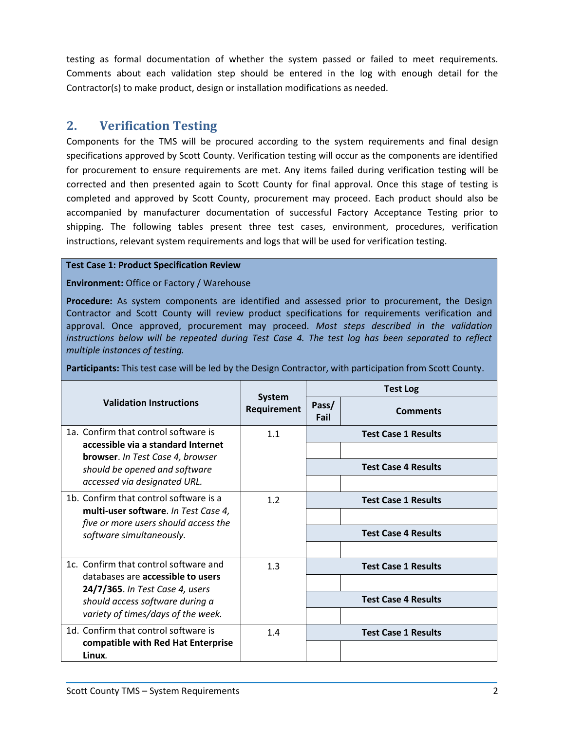testing as formal documentation of whether the system passed or failed to meet requirements. Comments about each validation step should be entered in the log with enough detail for the Contractor(s) to make product, design or installation modifications as needed.

# <span id="page-3-0"></span>**2. Verification Testing**

Components for the TMS will be procured according to the system requirements and final design specifications approved by Scott County. Verification testing will occur as the components are identified for procurement to ensure requirements are met. Any items failed during verification testing will be corrected and then presented again to Scott County for final approval. Once this stage of testing is completed and approved by Scott County, procurement may proceed. Each product should also be accompanied by manufacturer documentation of successful Factory Acceptance Testing prior to shipping. The following tables present three test cases, environment, procedures, verification instructions, relevant system requirements and logs that will be used for verification testing.

## **Test Case 1: Product Specification Review**

**Environment:** Office or Factory / Warehouse

**Procedure:** As system components are identified and assessed prior to procurement, the Design Contractor and Scott County will review product specifications for requirements verification and approval. Once approved, procurement may proceed. *Most steps described in the validation instructions below will be repeated during Test Case 4. The test log has been separated to reflect multiple instances of testing.*

**Participants:** This test case will be led by the Design Contractor, with participation from Scott County.

|                                                                               |                              |               | <b>Test Log</b>            |
|-------------------------------------------------------------------------------|------------------------------|---------------|----------------------------|
| <b>Validation Instructions</b>                                                | <b>System</b><br>Requirement | Pass/<br>Fail | <b>Comments</b>            |
| 1a. Confirm that control software is                                          | 1.1                          |               | <b>Test Case 1 Results</b> |
| accessible via a standard Internet<br><b>browser.</b> In Test Case 4, browser |                              |               |                            |
| should be opened and software                                                 |                              |               | <b>Test Case 4 Results</b> |
| accessed via designated URL.                                                  |                              |               |                            |
| 1b. Confirm that control software is a                                        | 1.2                          |               | <b>Test Case 1 Results</b> |
| multi-user software. In Test Case 4,<br>five or more users should access the  |                              |               |                            |
| software simultaneously.                                                      |                              |               | <b>Test Case 4 Results</b> |
|                                                                               |                              |               |                            |
| 1c. Confirm that control software and                                         | 1.3                          |               | <b>Test Case 1 Results</b> |
| databases are accessible to users<br>24/7/365. In Test Case 4, users          |                              |               |                            |
| should access software during a                                               |                              |               | <b>Test Case 4 Results</b> |
| variety of times/days of the week.                                            |                              |               |                            |
| 1d. Confirm that control software is                                          | 1.4                          |               | <b>Test Case 1 Results</b> |
| compatible with Red Hat Enterprise<br>Linux.                                  |                              |               |                            |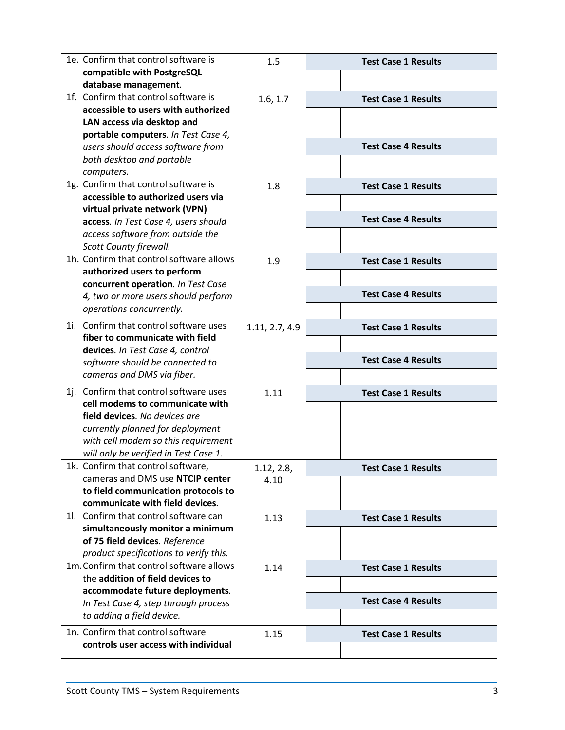| 1e. Confirm that control software is                                      | 1.5            | <b>Test Case 1 Results</b> |
|---------------------------------------------------------------------------|----------------|----------------------------|
| compatible with PostgreSQL                                                |                |                            |
| database management.                                                      |                |                            |
| 1f. Confirm that control software is                                      | 1.6, 1.7       | <b>Test Case 1 Results</b> |
| accessible to users with authorized                                       |                |                            |
| LAN access via desktop and<br>portable computers. In Test Case 4,         |                |                            |
| users should access software from                                         |                | <b>Test Case 4 Results</b> |
| both desktop and portable                                                 |                |                            |
| computers.                                                                |                |                            |
| 1g. Confirm that control software is                                      | 1.8            | <b>Test Case 1 Results</b> |
| accessible to authorized users via                                        |                |                            |
| virtual private network (VPN)                                             |                |                            |
| access. In Test Case 4, users should                                      |                | <b>Test Case 4 Results</b> |
| access software from outside the                                          |                |                            |
| Scott County firewall.                                                    |                |                            |
| 1h. Confirm that control software allows                                  | 1.9            | <b>Test Case 1 Results</b> |
| authorized users to perform                                               |                |                            |
| concurrent operation. In Test Case                                        |                | <b>Test Case 4 Results</b> |
| 4, two or more users should perform                                       |                |                            |
| operations concurrently.                                                  |                |                            |
| 1i. Confirm that control software uses                                    | 1.11, 2.7, 4.9 | <b>Test Case 1 Results</b> |
| fiber to communicate with field                                           |                |                            |
| devices. In Test Case 4, control                                          |                | <b>Test Case 4 Results</b> |
| software should be connected to<br>cameras and DMS via fiber.             |                |                            |
|                                                                           |                |                            |
| 1j. Confirm that control software uses<br>cell modems to communicate with | 1.11           | <b>Test Case 1 Results</b> |
| field devices. No devices are                                             |                |                            |
| currently planned for deployment                                          |                |                            |
| with cell modem so this requirement                                       |                |                            |
| will only be verified in Test Case 1.                                     |                |                            |
| 1k. Confirm that control software,                                        | 1.12, 2.8,     | Test Case 1 Results        |
| cameras and DMS use NTCIP center                                          | 4.10           |                            |
| to field communication protocols to                                       |                |                            |
| communicate with field devices.                                           |                |                            |
| 11. Confirm that control software can                                     | 1.13           | <b>Test Case 1 Results</b> |
| simultaneously monitor a minimum                                          |                |                            |
| of 75 field devices. Reference                                            |                |                            |
| product specifications to verify this.                                    |                |                            |
| 1m. Confirm that control software allows                                  | 1.14           | <b>Test Case 1 Results</b> |
| the addition of field devices to                                          |                |                            |
| accommodate future deployments.                                           |                | <b>Test Case 4 Results</b> |
| In Test Case 4, step through process<br>to adding a field device.         |                |                            |
|                                                                           |                |                            |
| 1n. Confirm that control software<br>controls user access with individual | 1.15           | <b>Test Case 1 Results</b> |
|                                                                           |                |                            |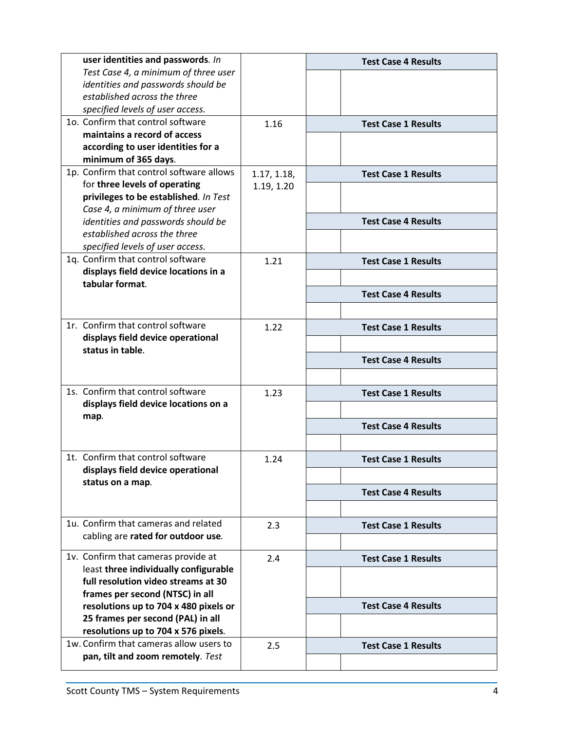| user identities and passwords. In        |             | <b>Test Case 4 Results</b> |
|------------------------------------------|-------------|----------------------------|
| Test Case 4, a minimum of three user     |             |                            |
| identities and passwords should be       |             |                            |
| established across the three             |             |                            |
| specified levels of user access.         |             |                            |
| 10. Confirm that control software        | 1.16        | <b>Test Case 1 Results</b> |
| maintains a record of access             |             |                            |
| according to user identities for a       |             |                            |
| minimum of 365 days.                     |             |                            |
| 1p. Confirm that control software allows | 1.17, 1.18, | <b>Test Case 1 Results</b> |
| for three levels of operating            | 1.19, 1.20  |                            |
| privileges to be established. In Test    |             |                            |
| Case 4, a minimum of three user          |             |                            |
| identities and passwords should be       |             | <b>Test Case 4 Results</b> |
| established across the three             |             |                            |
| specified levels of user access.         |             |                            |
| 1q. Confirm that control software        | 1.21        | <b>Test Case 1 Results</b> |
| displays field device locations in a     |             |                            |
| tabular format.                          |             | <b>Test Case 4 Results</b> |
|                                          |             |                            |
|                                          |             |                            |
| 1r. Confirm that control software        | 1.22        | <b>Test Case 1 Results</b> |
| displays field device operational        |             |                            |
| status in table.                         |             |                            |
|                                          |             | <b>Test Case 4 Results</b> |
|                                          |             |                            |
| 1s. Confirm that control software        | 1.23        | <b>Test Case 1 Results</b> |
| displays field device locations on a     |             |                            |
| map.                                     |             | <b>Test Case 4 Results</b> |
|                                          |             |                            |
|                                          |             |                            |
| 1t. Confirm that control software        | 1.24        | <b>Test Case 1 Results</b> |
| displays field device operational        |             |                            |
| status on a map.                         |             | <b>Test Case 4 Results</b> |
|                                          |             |                            |
|                                          |             |                            |
| 1u. Confirm that cameras and related     | 2.3         | <b>Test Case 1 Results</b> |
| cabling are rated for outdoor use.       |             |                            |
| 1v. Confirm that cameras provide at      | 2.4         | <b>Test Case 1 Results</b> |
| least three individually configurable    |             |                            |
| full resolution video streams at 30      |             |                            |
| frames per second (NTSC) in all          |             |                            |
| resolutions up to 704 x 480 pixels or    |             | <b>Test Case 4 Results</b> |
| 25 frames per second (PAL) in all        |             |                            |
| resolutions up to 704 x 576 pixels.      |             |                            |
| 1w. Confirm that cameras allow users to  | 2.5         | <b>Test Case 1 Results</b> |
| pan, tilt and zoom remotely. Test        |             |                            |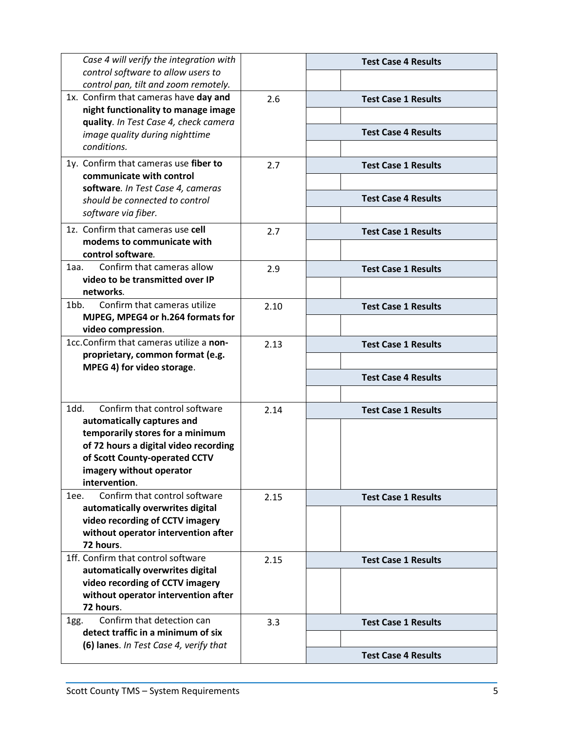| Case 4 will verify the integration with                                    |      | <b>Test Case 4 Results</b> |
|----------------------------------------------------------------------------|------|----------------------------|
| control software to allow users to<br>control pan, tilt and zoom remotely. |      |                            |
| 1x. Confirm that cameras have day and                                      | 2.6  | <b>Test Case 1 Results</b> |
| night functionality to manage image                                        |      |                            |
| quality. In Test Case 4, check camera                                      |      |                            |
| image quality during nighttime                                             |      | <b>Test Case 4 Results</b> |
| conditions.                                                                |      |                            |
| 1y. Confirm that cameras use fiber to                                      | 2.7  | <b>Test Case 1 Results</b> |
| communicate with control                                                   |      |                            |
| software. In Test Case 4, cameras                                          |      | <b>Test Case 4 Results</b> |
| should be connected to control                                             |      |                            |
| software via fiber.                                                        |      |                            |
| 1z. Confirm that cameras use cell                                          | 2.7  | <b>Test Case 1 Results</b> |
| modems to communicate with<br>control software.                            |      |                            |
| Confirm that cameras allow<br>$1$ aa.                                      | 2.9  | <b>Test Case 1 Results</b> |
| video to be transmitted over IP                                            |      |                            |
| networks.                                                                  |      |                            |
| 1bb.<br>Confirm that cameras utilize                                       | 2.10 | <b>Test Case 1 Results</b> |
| MJPEG, MPEG4 or h.264 formats for                                          |      |                            |
| video compression.<br>1cc.Confirm that cameras utilize a non-              |      |                            |
| proprietary, common format (e.g.                                           | 2.13 | <b>Test Case 1 Results</b> |
| MPEG 4) for video storage.                                                 |      |                            |
|                                                                            |      | <b>Test Case 4 Results</b> |
|                                                                            |      |                            |
| Confirm that control software<br>1dd.                                      | 2.14 | <b>Test Case 1 Results</b> |
| automatically captures and                                                 |      |                            |
| temporarily stores for a minimum                                           |      |                            |
| of 72 hours a digital video recording<br>of Scott County-operated CCTV     |      |                            |
| imagery without operator                                                   |      |                            |
| intervention.                                                              |      |                            |
| Confirm that control software<br>1ee.                                      | 2.15 | <b>Test Case 1 Results</b> |
| automatically overwrites digital                                           |      |                            |
| video recording of CCTV imagery                                            |      |                            |
| without operator intervention after                                        |      |                            |
| 72 hours.<br>1ff. Confirm that control software                            |      |                            |
| automatically overwrites digital                                           | 2.15 | <b>Test Case 1 Results</b> |
| video recording of CCTV imagery                                            |      |                            |
| without operator intervention after                                        |      |                            |
| 72 hours.                                                                  |      |                            |
| Confirm that detection can<br>1gg.                                         | 3.3  | <b>Test Case 1 Results</b> |
| detect traffic in a minimum of six                                         |      |                            |
| (6) lanes. In Test Case 4, verify that                                     |      | <b>Test Case 4 Results</b> |
|                                                                            |      |                            |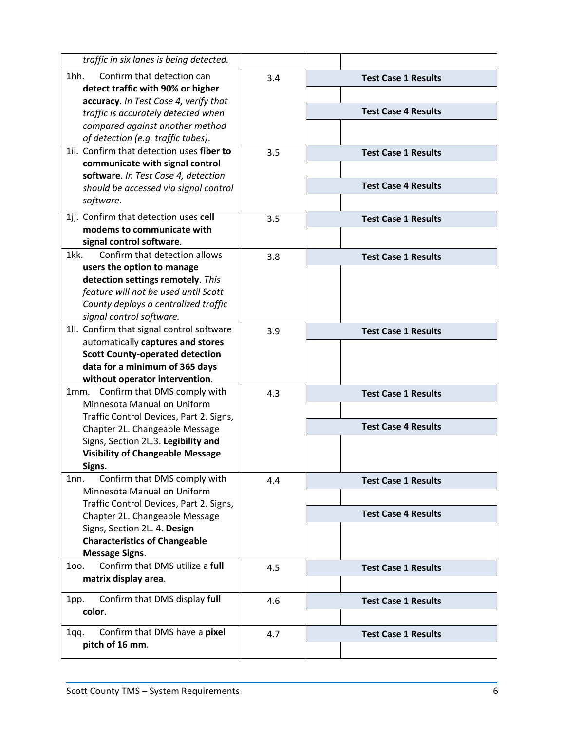| traffic in six lanes is being detected.                                   |     |                            |
|---------------------------------------------------------------------------|-----|----------------------------|
| $1hh$ .<br>Confirm that detection can                                     | 3.4 | <b>Test Case 1 Results</b> |
| detect traffic with 90% or higher                                         |     |                            |
| accuracy. In Test Case 4, verify that                                     |     |                            |
| traffic is accurately detected when                                       |     | <b>Test Case 4 Results</b> |
| compared against another method                                           |     |                            |
| of detection (e.g. traffic tubes).                                        |     |                            |
| 1ii. Confirm that detection uses fiber to                                 | 3.5 | <b>Test Case 1 Results</b> |
| communicate with signal control                                           |     |                            |
| software. In Test Case 4, detection                                       |     | <b>Test Case 4 Results</b> |
| should be accessed via signal control<br>software.                        |     |                            |
|                                                                           |     |                            |
| 1jj. Confirm that detection uses cell                                     | 3.5 | <b>Test Case 1 Results</b> |
| modems to communicate with                                                |     |                            |
| signal control software.                                                  |     |                            |
| 1kk.<br>Confirm that detection allows                                     | 3.8 | <b>Test Case 1 Results</b> |
| users the option to manage                                                |     |                            |
| detection settings remotely. This<br>feature will not be used until Scott |     |                            |
| County deploys a centralized traffic                                      |     |                            |
| signal control software.                                                  |     |                            |
| 1ll. Confirm that signal control software                                 | 3.9 | <b>Test Case 1 Results</b> |
| automatically captures and stores                                         |     |                            |
| <b>Scott County-operated detection</b>                                    |     |                            |
| data for a minimum of 365 days                                            |     |                            |
| without operator intervention.                                            |     |                            |
| Confirm that DMS comply with<br>1mm.                                      | 4.3 | <b>Test Case 1 Results</b> |
| Minnesota Manual on Uniform                                               |     |                            |
| Traffic Control Devices, Part 2. Signs,                                   |     |                            |
| Chapter 2L. Changeable Message                                            |     | <b>Test Case 4 Results</b> |
| Signs, Section 2L.3. Legibility and                                       |     |                            |
| <b>Visibility of Changeable Message</b>                                   |     |                            |
| Signs.                                                                    |     |                            |
| Confirm that DMS comply with<br>1nn.                                      | 4.4 | <b>Test Case 1 Results</b> |
| Minnesota Manual on Uniform                                               |     |                            |
| Traffic Control Devices, Part 2. Signs,                                   |     | <b>Test Case 4 Results</b> |
| Chapter 2L. Changeable Message                                            |     |                            |
| Signs, Section 2L. 4. Design<br><b>Characteristics of Changeable</b>      |     |                            |
| <b>Message Signs.</b>                                                     |     |                            |
| Confirm that DMS utilize a full<br>100.                                   |     |                            |
| matrix display area.                                                      | 4.5 | <b>Test Case 1 Results</b> |
|                                                                           |     |                            |
| Confirm that DMS display full<br>1pp.                                     | 4.6 | <b>Test Case 1 Results</b> |
| color.                                                                    |     |                            |
| Confirm that DMS have a pixel<br>1qq.                                     |     |                            |
| pitch of 16 mm.                                                           | 4.7 | <b>Test Case 1 Results</b> |
|                                                                           |     |                            |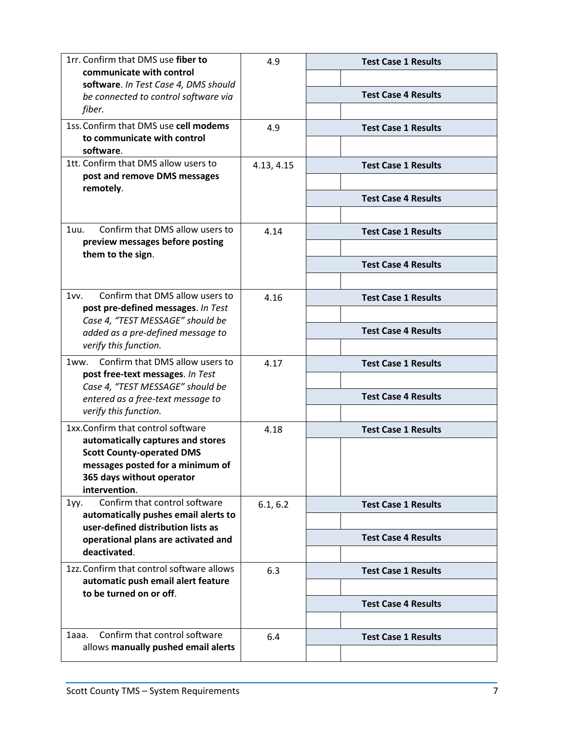| 1rr. Confirm that DMS use fiber to                                    | 4.9        | <b>Test Case 1 Results</b> |
|-----------------------------------------------------------------------|------------|----------------------------|
| communicate with control                                              |            |                            |
| software. In Test Case 4, DMS should                                  |            | <b>Test Case 4 Results</b> |
| be connected to control software via<br>fiber.                        |            |                            |
|                                                                       |            |                            |
| 1ss. Confirm that DMS use cell modems<br>to communicate with control  | 4.9        | <b>Test Case 1 Results</b> |
| software.                                                             |            |                            |
| 1tt. Confirm that DMS allow users to                                  | 4.13, 4.15 | <b>Test Case 1 Results</b> |
| post and remove DMS messages                                          |            |                            |
| remotely.                                                             |            |                            |
|                                                                       |            | <b>Test Case 4 Results</b> |
|                                                                       |            |                            |
| Confirm that DMS allow users to<br>1uu.                               | 4.14       | <b>Test Case 1 Results</b> |
| preview messages before posting                                       |            |                            |
| them to the sign.                                                     |            | <b>Test Case 4 Results</b> |
|                                                                       |            |                            |
| Confirm that DMS allow users to<br>1vw.                               | 4.16       | <b>Test Case 1 Results</b> |
| post pre-defined messages. In Test                                    |            |                            |
| Case 4, "TEST MESSAGE" should be                                      |            |                            |
| added as a pre-defined message to                                     |            | <b>Test Case 4 Results</b> |
| verify this function.                                                 |            |                            |
| Confirm that DMS allow users to<br>1ww.                               | 4.17       | <b>Test Case 1 Results</b> |
| post free-text messages. In Test                                      |            |                            |
| Case 4, "TEST MESSAGE" should be<br>entered as a free-text message to |            | <b>Test Case 4 Results</b> |
| verify this function.                                                 |            |                            |
| 1xx.Confirm that control software                                     | 4.18       | <b>Test Case 1 Results</b> |
| automatically captures and stores                                     |            |                            |
| <b>Scott County-operated DMS</b>                                      |            |                            |
| messages posted for a minimum of                                      |            |                            |
| 365 days without operator                                             |            |                            |
| intervention.<br>Confirm that control software                        |            |                            |
| 1yy.<br>automatically pushes email alerts to                          | 6.1, 6.2   | <b>Test Case 1 Results</b> |
| user-defined distribution lists as                                    |            |                            |
| operational plans are activated and                                   |            | <b>Test Case 4 Results</b> |
| deactivated.                                                          |            |                            |
| 1zz. Confirm that control software allows                             | 6.3        | <b>Test Case 1 Results</b> |
| automatic push email alert feature                                    |            |                            |
| to be turned on or off.                                               |            | <b>Test Case 4 Results</b> |
|                                                                       |            |                            |
| Confirm that control software<br>1aaa.                                | 6.4        | <b>Test Case 1 Results</b> |
| allows manually pushed email alerts                                   |            |                            |
|                                                                       |            |                            |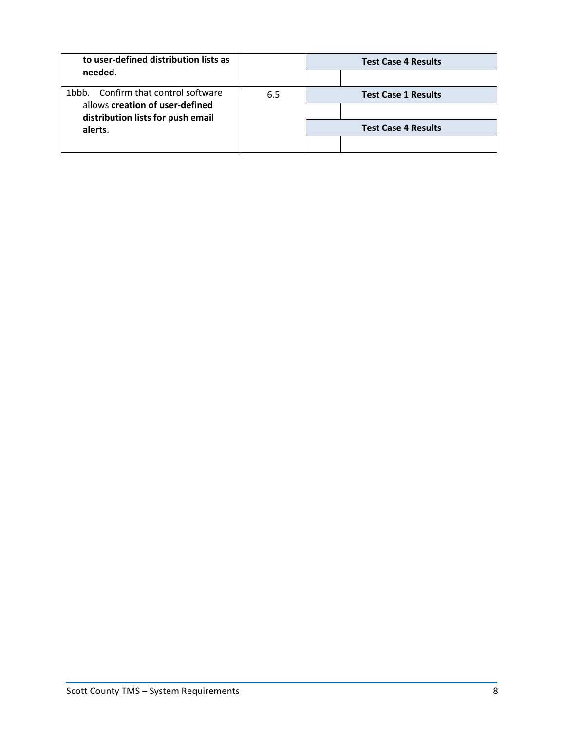| to user-defined distribution lists as                                |     | <b>Test Case 4 Results</b> |                            |
|----------------------------------------------------------------------|-----|----------------------------|----------------------------|
| needed.                                                              |     |                            |                            |
| 1bbb. Confirm that control software                                  | 6.5 | <b>Test Case 1 Results</b> |                            |
| allows creation of user-defined<br>distribution lists for push email |     |                            |                            |
| alerts.                                                              |     |                            | <b>Test Case 4 Results</b> |
|                                                                      |     |                            |                            |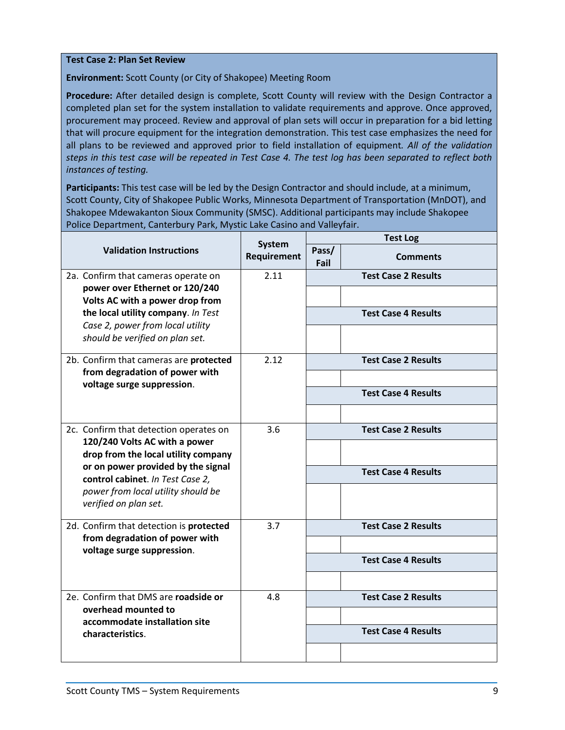#### **Test Case 2: Plan Set Review**

**Environment:** Scott County (or City of Shakopee) Meeting Room

**Procedure:** After detailed design is complete, Scott County will review with the Design Contractor a completed plan set for the system installation to validate requirements and approve. Once approved, procurement may proceed. Review and approval of plan sets will occur in preparation for a bid letting that will procure equipment for the integration demonstration. This test case emphasizes the need for all plans to be reviewed and approved prior to field installation of equipment*. All of the validation steps in this test case will be repeated in Test Case 4. The test log has been separated to reflect both instances of testing.*

**Participants:** This test case will be led by the Design Contractor and should include, at a minimum, Scott County, City of Shakopee Public Works, Minnesota Department of Transportation (MnDOT), and Shakopee Mdewakanton Sioux Community (SMSC). Additional participants may include Shakopee Police Department, Canterbury Park, Mystic Lake Casino and Valleyfair.

|                                                                                                               | <b>System</b><br>Requirement | <b>Test Log</b> |                            |  |
|---------------------------------------------------------------------------------------------------------------|------------------------------|-----------------|----------------------------|--|
| <b>Validation Instructions</b>                                                                                |                              | Pass/<br>Fail   | <b>Comments</b>            |  |
| 2a. Confirm that cameras operate on<br>power over Ethernet or 120/240<br>Volts AC with a power drop from      | 2.11                         |                 | <b>Test Case 2 Results</b> |  |
| the local utility company. In Test<br>Case 2, power from local utility                                        |                              |                 | <b>Test Case 4 Results</b> |  |
| should be verified on plan set.                                                                               |                              |                 |                            |  |
| 2b. Confirm that cameras are protected<br>from degradation of power with                                      | 2.12                         |                 | <b>Test Case 2 Results</b> |  |
| voltage surge suppression.                                                                                    |                              |                 | <b>Test Case 4 Results</b> |  |
| 2c. Confirm that detection operates on<br>120/240 Volts AC with a power                                       | 3.6                          |                 | <b>Test Case 2 Results</b> |  |
| drop from the local utility company<br>or on power provided by the signal<br>control cabinet. In Test Case 2, |                              |                 | <b>Test Case 4 Results</b> |  |
| power from local utility should be<br>verified on plan set.                                                   |                              |                 |                            |  |
| 2d. Confirm that detection is protected<br>from degradation of power with                                     | 3.7                          |                 | <b>Test Case 2 Results</b> |  |
| voltage surge suppression.                                                                                    |                              |                 | <b>Test Case 4 Results</b> |  |
| 2e. Confirm that DMS are roadside or<br>overhead mounted to                                                   | 4.8                          |                 | <b>Test Case 2 Results</b> |  |
| accommodate installation site<br>characteristics.                                                             |                              |                 | <b>Test Case 4 Results</b> |  |
|                                                                                                               |                              |                 |                            |  |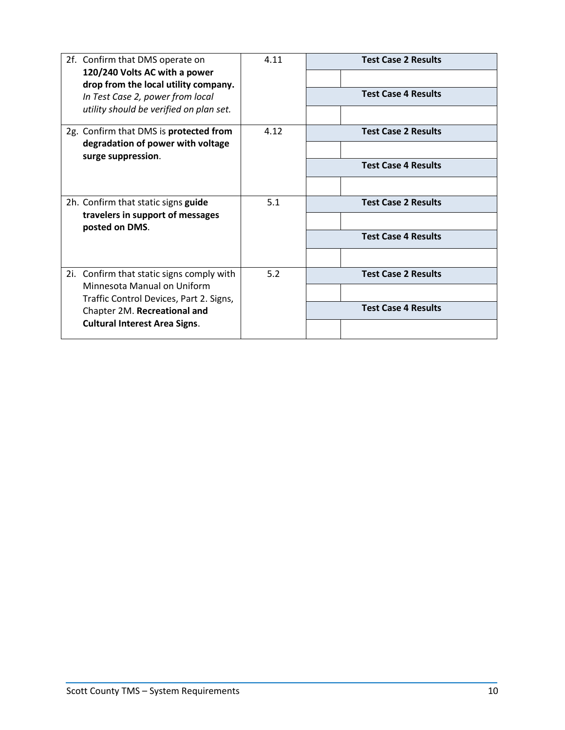| 2f. Confirm that DMS operate on                                        | 4.11 | <b>Test Case 2 Results</b> |  |  |
|------------------------------------------------------------------------|------|----------------------------|--|--|
| 120/240 Volts AC with a power<br>drop from the local utility company.  |      |                            |  |  |
| In Test Case 2, power from local                                       |      | <b>Test Case 4 Results</b> |  |  |
| utility should be verified on plan set.                                |      |                            |  |  |
| 2g. Confirm that DMS is protected from                                 | 4.12 | <b>Test Case 2 Results</b> |  |  |
| degradation of power with voltage<br>surge suppression.                |      |                            |  |  |
|                                                                        |      | <b>Test Case 4 Results</b> |  |  |
|                                                                        |      |                            |  |  |
| 2h. Confirm that static signs guide                                    | 5.1  | <b>Test Case 2 Results</b> |  |  |
| travelers in support of messages<br>posted on DMS.                     |      |                            |  |  |
|                                                                        |      | <b>Test Case 4 Results</b> |  |  |
|                                                                        |      |                            |  |  |
| Confirm that static signs comply with<br>2i.                           | 5.2  | <b>Test Case 2 Results</b> |  |  |
| Minnesota Manual on Uniform<br>Traffic Control Devices, Part 2. Signs, |      |                            |  |  |
| Chapter 2M. Recreational and                                           |      | <b>Test Case 4 Results</b> |  |  |
| <b>Cultural Interest Area Signs.</b>                                   |      |                            |  |  |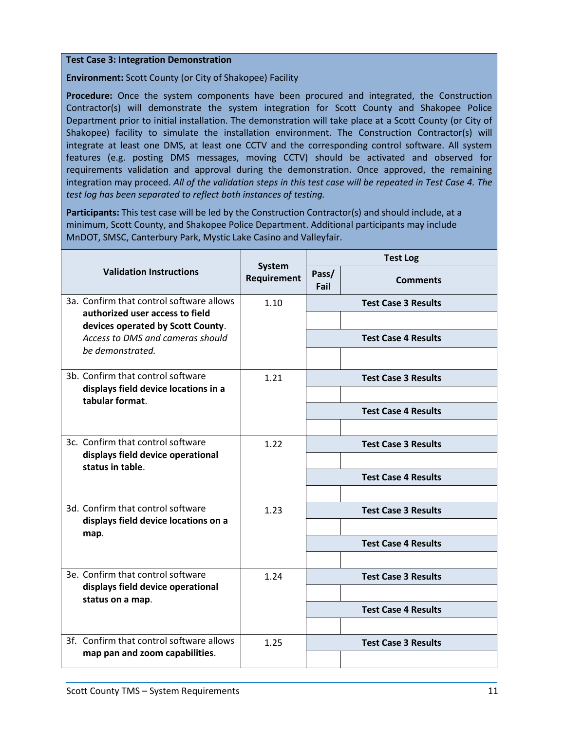#### **Test Case 3: Integration Demonstration**

**Environment:** Scott County (or City of Shakopee) Facility

Procedure: Once the system components have been procured and integrated, the Construction Contractor(s) will demonstrate the system integration for Scott County and Shakopee Police Department prior to initial installation. The demonstration will take place at a Scott County (or City of Shakopee) facility to simulate the installation environment. The Construction Contractor(s) will integrate at least one DMS, at least one CCTV and the corresponding control software. All system features (e.g. posting DMS messages, moving CCTV) should be activated and observed for requirements validation and approval during the demonstration. Once approved, the remaining integration may proceed. *All of the validation steps in this test case will be repeated in Test Case 4. The test log has been separated to reflect both instances of testing.*

**Participants:** This test case will be led by the Construction Contractor(s) and should include, at a minimum, Scott County, and Shakopee Police Department. Additional participants may include MnDOT, SMSC, Canterbury Park, Mystic Lake Casino and Valleyfair.

|                                                                            |                                     | <b>Test Log</b> |                            |
|----------------------------------------------------------------------------|-------------------------------------|-----------------|----------------------------|
| <b>Validation Instructions</b>                                             | <b>System</b><br><b>Requirement</b> | Pass/<br>Fail   | <b>Comments</b>            |
| 3a. Confirm that control software allows                                   | 1.10                                |                 | <b>Test Case 3 Results</b> |
| authorized user access to field<br>devices operated by Scott County.       |                                     |                 |                            |
| Access to DMS and cameras should                                           |                                     |                 | <b>Test Case 4 Results</b> |
| be demonstrated.                                                           |                                     |                 |                            |
| 3b. Confirm that control software                                          | 1.21                                |                 | <b>Test Case 3 Results</b> |
| displays field device locations in a<br>tabular format.                    |                                     |                 |                            |
|                                                                            |                                     |                 | <b>Test Case 4 Results</b> |
|                                                                            |                                     |                 |                            |
| 3c. Confirm that control software<br>displays field device operational     | 1.22                                |                 | <b>Test Case 3 Results</b> |
| status in table.                                                           |                                     |                 |                            |
|                                                                            |                                     |                 | <b>Test Case 4 Results</b> |
| 3d. Confirm that control software                                          | 1.23                                |                 | <b>Test Case 3 Results</b> |
| displays field device locations on a                                       |                                     |                 |                            |
| map.                                                                       |                                     |                 | <b>Test Case 4 Results</b> |
|                                                                            |                                     |                 |                            |
| 3e. Confirm that control software                                          | 1.24                                |                 | <b>Test Case 3 Results</b> |
| displays field device operational<br>status on a map.                      |                                     |                 |                            |
|                                                                            |                                     |                 | <b>Test Case 4 Results</b> |
|                                                                            |                                     |                 |                            |
| 3f. Confirm that control software allows<br>map pan and zoom capabilities. | 1.25                                |                 | <b>Test Case 3 Results</b> |
|                                                                            |                                     |                 |                            |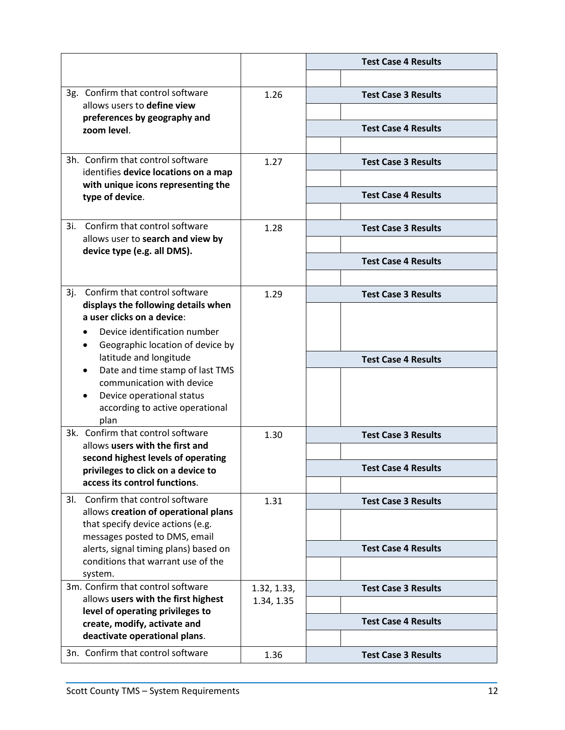|                                                                            |             | <b>Test Case 4 Results</b> |
|----------------------------------------------------------------------------|-------------|----------------------------|
|                                                                            |             |                            |
| 3g. Confirm that control software                                          | 1.26        | <b>Test Case 3 Results</b> |
| allows users to define view<br>preferences by geography and                |             |                            |
| zoom level.                                                                |             | <b>Test Case 4 Results</b> |
|                                                                            |             |                            |
| 3h. Confirm that control software                                          | 1.27        | <b>Test Case 3 Results</b> |
| identifies device locations on a map<br>with unique icons representing the |             |                            |
| type of device.                                                            |             | <b>Test Case 4 Results</b> |
|                                                                            |             |                            |
| Confirm that control software<br>3i.                                       | 1.28        | <b>Test Case 3 Results</b> |
| allows user to search and view by<br>device type (e.g. all DMS).           |             |                            |
|                                                                            |             | <b>Test Case 4 Results</b> |
|                                                                            |             |                            |
| Confirm that control software<br>3j.                                       | 1.29        | <b>Test Case 3 Results</b> |
| displays the following details when<br>a user clicks on a device:          |             |                            |
| Device identification number                                               |             |                            |
| Geographic location of device by                                           |             |                            |
| latitude and longitude<br>Date and time stamp of last TMS                  |             | <b>Test Case 4 Results</b> |
| communication with device                                                  |             |                            |
| Device operational status                                                  |             |                            |
| according to active operational<br>plan                                    |             |                            |
| 3k. Confirm that control software                                          | 1.30        | <b>Test Case 3 Results</b> |
| allows users with the first and                                            |             |                            |
| second highest levels of operating<br>privileges to click on a device to   |             | <b>Test Case 4 Results</b> |
| access its control functions.                                              |             |                            |
| 31. Confirm that control software                                          | 1.31        | <b>Test Case 3 Results</b> |
| allows creation of operational plans                                       |             |                            |
| that specify device actions (e.g.<br>messages posted to DMS, email         |             |                            |
| alerts, signal timing plans) based on                                      |             | <b>Test Case 4 Results</b> |
| conditions that warrant use of the                                         |             |                            |
| system.<br>3m. Confirm that control software                               | 1.32, 1.33, | <b>Test Case 3 Results</b> |
| allows users with the first highest                                        | 1.34, 1.35  |                            |
| level of operating privileges to<br>create, modify, activate and           |             | <b>Test Case 4 Results</b> |
| deactivate operational plans.                                              |             |                            |
| 3n. Confirm that control software                                          | 1.36        | <b>Test Case 3 Results</b> |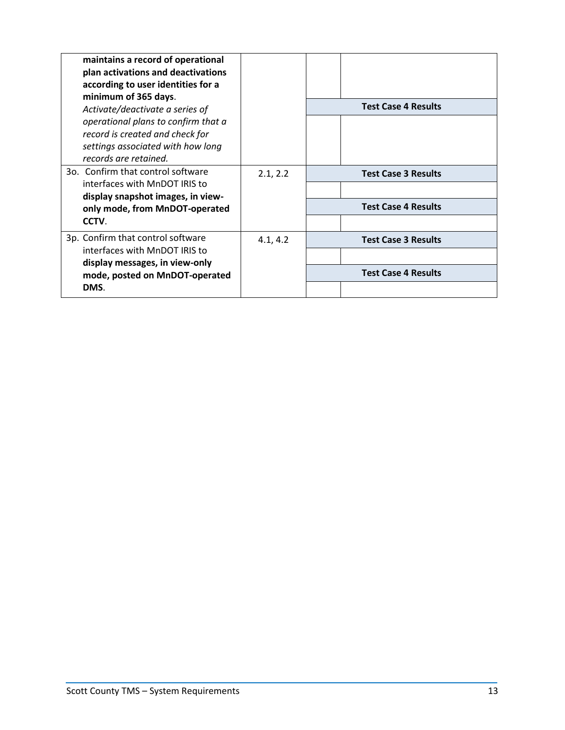| maintains a record of operational<br>plan activations and deactivations<br>according to user identities for a<br>minimum of 365 days. |          |                            |
|---------------------------------------------------------------------------------------------------------------------------------------|----------|----------------------------|
| Activate/deactivate a series of                                                                                                       |          | <b>Test Case 4 Results</b> |
| operational plans to confirm that a<br>record is created and check for<br>settings associated with how long<br>records are retained.  |          |                            |
| 30. Confirm that control software                                                                                                     | 2.1, 2.2 | <b>Test Case 3 Results</b> |
| interfaces with MnDOT IRIS to<br>display snapshot images, in view-                                                                    |          |                            |
| only mode, from MnDOT-operated                                                                                                        |          | <b>Test Case 4 Results</b> |
| CCTV.                                                                                                                                 |          |                            |
| 3p. Confirm that control software                                                                                                     | 4.1, 4.2 | <b>Test Case 3 Results</b> |
| interfaces with MnDOT IRIS to<br>display messages, in view-only                                                                       |          |                            |
| mode, posted on MnDOT-operated                                                                                                        |          | <b>Test Case 4 Results</b> |
| DMS.                                                                                                                                  |          |                            |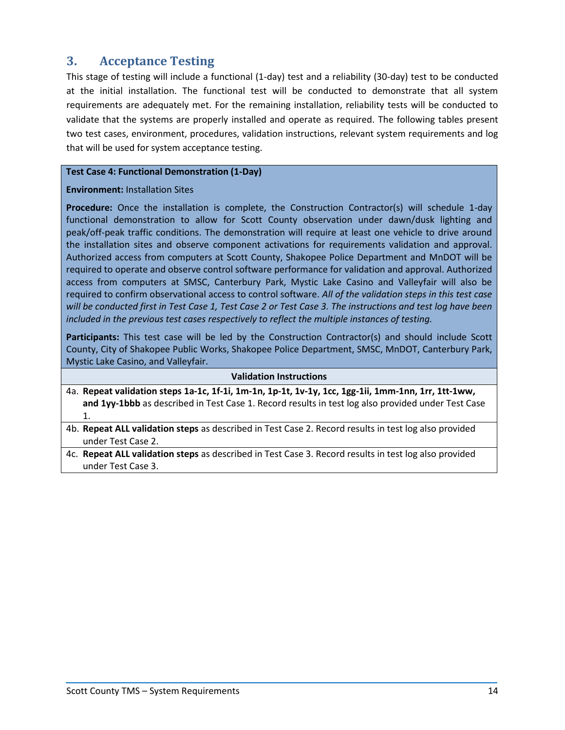## <span id="page-15-0"></span>**3. Acceptance Testing**

This stage of testing will include a functional (1-day) test and a reliability (30-day) test to be conducted at the initial installation. The functional test will be conducted to demonstrate that all system requirements are adequately met. For the remaining installation, reliability tests will be conducted to validate that the systems are properly installed and operate as required. The following tables present two test cases, environment, procedures, validation instructions, relevant system requirements and log that will be used for system acceptance testing.

#### **Test Case 4: Functional Demonstration (1-Day)**

#### **Environment:** Installation Sites

Procedure: Once the installation is complete, the Construction Contractor(s) will schedule 1-day functional demonstration to allow for Scott County observation under dawn/dusk lighting and peak/off-peak traffic conditions. The demonstration will require at least one vehicle to drive around the installation sites and observe component activations for requirements validation and approval. Authorized access from computers at Scott County, Shakopee Police Department and MnDOT will be required to operate and observe control software performance for validation and approval. Authorized access from computers at SMSC, Canterbury Park, Mystic Lake Casino and Valleyfair will also be required to confirm observational access to control software. *All of the validation steps in this test case will be conducted first in Test Case 1, Test Case 2 or Test Case 3. The instructions and test log have been included in the previous test cases respectively to reflect the multiple instances of testing.*

**Participants:** This test case will be led by the Construction Contractor(s) and should include Scott County, City of Shakopee Public Works, Shakopee Police Department, SMSC, MnDOT, Canterbury Park, Mystic Lake Casino, and Valleyfair.

#### **Validation Instructions**

- 4a. **Repeat validation steps 1a-1c, 1f-1i, 1m-1n, 1p-1t, 1v-1y, 1cc, 1gg-1ii, 1mm-1nn, 1rr, 1tt-1ww, and 1yy-1bbb** as described in Test Case 1. Record results in test log also provided under Test Case 1.
- 4b. **Repeat ALL validation steps** as described in Test Case 2. Record results in test log also provided under Test Case 2.
- 4c. **Repeat ALL validation steps** as described in Test Case 3. Record results in test log also provided under Test Case 3.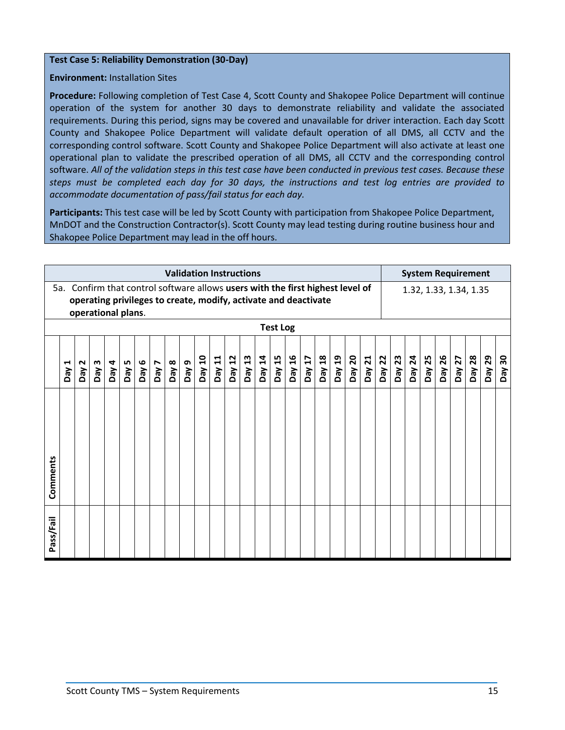#### **Test Case 5: Reliability Demonstration (30-Day)**

## **Environment:** Installation Sites

**Procedure:** Following completion of Test Case 4, Scott County and Shakopee Police Department will continue operation of the system for another 30 days to demonstrate reliability and validate the associated requirements. During this period, signs may be covered and unavailable for driver interaction. Each day Scott County and Shakopee Police Department will validate default operation of all DMS, all CCTV and the corresponding control software. Scott County and Shakopee Police Department will also activate at least one operational plan to validate the prescribed operation of all DMS, all CCTV and the corresponding control software. *All of the validation steps in this test case have been conducted in previous test cases. Because these steps must be completed each day for 30 days, the instructions and test log entries are provided to accommodate documentation of pass/fail status for each day.*

**Participants:** This test case will be led by Scott County with participation from Shakopee Police Department, MnDOT and the Construction Contractor(s). Scott County may lead testing during routine business hour and Shakopee Police Department may lead in the off hours.

|           |                                                                                                                                                                            |                          |          |                   |       |       |              |       |          |        |        | <b>Validation Instructions</b> |        |        |        |        |                        |        |        |        |        |        | <b>System Requirement</b> |        |        |        |        |        |           |        |
|-----------|----------------------------------------------------------------------------------------------------------------------------------------------------------------------------|--------------------------|----------|-------------------|-------|-------|--------------|-------|----------|--------|--------|--------------------------------|--------|--------|--------|--------|------------------------|--------|--------|--------|--------|--------|---------------------------|--------|--------|--------|--------|--------|-----------|--------|
|           | Confirm that control software allows users with the first highest level of<br>5a.<br>operating privileges to create, modify, activate and deactivate<br>operational plans. |                          |          |                   |       |       |              |       |          |        |        |                                |        |        |        |        | 1.32, 1.33, 1.34, 1.35 |        |        |        |        |        |                           |        |        |        |        |        |           |        |
|           | <b>Test Log</b>                                                                                                                                                            |                          |          |                   |       |       |              |       |          |        |        |                                |        |        |        |        |                        |        |        |        |        |        |                           |        |        |        |        |        |           |        |
|           | ⊣<br>VeQ                                                                                                                                                                   | $\mathbf{\Omega}$<br>Ved | m<br>Day | D <sub>V</sub> ed | Day 5 | Day 6 | <b>L</b> Aed | Day 8 | თ<br>Ved | Day 10 | Day 11 | Day 12                         | Day 13 | Day 14 | Day 15 | Day 16 | Day 17                 | Day 18 | Day 19 | Day 20 | Day 21 | Day 22 | Day 23                    | Day 24 | Day 25 | Day 26 | Day 27 | Day 28 | 29<br>VeQ | Day 30 |
| Comments  |                                                                                                                                                                            |                          |          |                   |       |       |              |       |          |        |        |                                |        |        |        |        |                        |        |        |        |        |        |                           |        |        |        |        |        |           |        |
| Pass/Fail |                                                                                                                                                                            |                          |          |                   |       |       |              |       |          |        |        |                                |        |        |        |        |                        |        |        |        |        |        |                           |        |        |        |        |        |           |        |